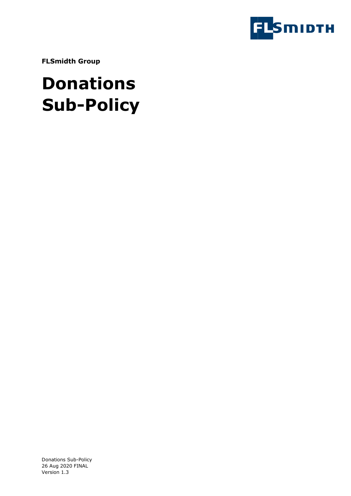

**FLSmidth Group** 

# **Donations Sub-Policy**

Donations Sub-Policy 26 Aug 2020 FINAL Version 1.3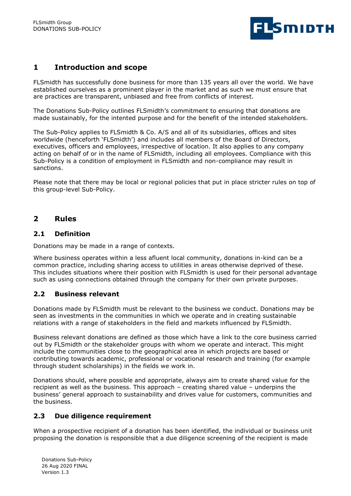

# **1 Introduction and scope**

FLSmidth has successfully done business for more than 135 years all over the world. We have established ourselves as a prominent player in the market and as such we must ensure that are practices are transparent, unbiased and free from conflicts of interest.

The Donations Sub-Policy outlines FLSmidth's commitment to ensuring that donations are made sustainably, for the intented purpose and for the benefit of the intended stakeholders.

The Sub-Policy applies to FLSmidth & Co. A/S and all of its subsidiaries, offices and sites worldwide (henceforth 'FLSmidth') and includes all members of the Board of Directors, executives, officers and employees, irrespective of location. It also applies to any company acting on behalf of or in the name of FLSmidth, including all employees. Compliance with this Sub-Policy is a condition of employment in FLSmidth and non-compliance may result in sanctions.

Please note that there may be local or regional policies that put in place stricter rules on top of this group-level Sub-Policy.

## **2 Rules**

#### **2.1 Definition**

Donations may be made in a range of contexts.

Where business operates within a less afluent local community, donations in-kind can be a common practice, including sharing access to utilities in areas otherwise deprived of these. This includes situations where their position with FLSmidth is used for their personal advantage such as using connections obtained through the company for their own private purposes.

## **2.2 Business relevant**

Donations made by FLSmidth must be relevant to the business we conduct. Donations may be seen as investments in the communities in which we operate and in creating sustainable relations with a range of stakeholders in the field and markets influenced by FLSmidth.

Business relevant donations are defined as those which have a link to the core business carried out by FLSmidth or the stakeholder groups with whom we operate and interact. This might include the communities close to the geographical area in which projects are based or contributing towards academic, professional or vocational research and training (for example through student scholarships) in the fields we work in.

Donations should, where possible and appropriate, always aim to create shared value for the recipient as well as the business. This approach – creating shared value – underpins the business' general approach to sustainability and drives value for customers, communities and the business.

#### **2.3 Due diligence requirement**

When a prospective recipient of a donation has been identified, the individual or business unit proposing the donation is responsible that a due diligence screening of the recipient is made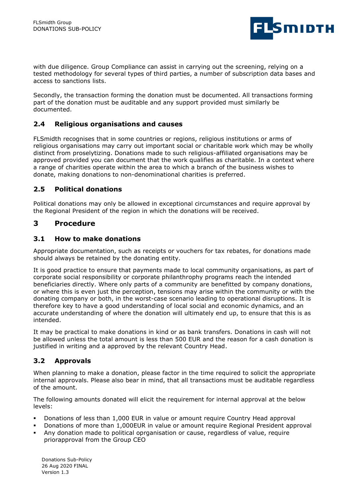

with due diligence. Group Compliance can assist in carrying out the screening, relying on a tested methodology for several types of third parties, a number of subscription data bases and access to sanctions lists.

Secondly, the transaction forming the donation must be documented. All transactions forming part of the donation must be auditable and any support provided must similarly be documented.

#### **2.4 Religious organisations and causes**

FLSmidth recognises that in some countries or regions, religious institutions or arms of religious organisations may carry out important social or charitable work which may be wholly distinct from proselytizing. Donations made to such religious-affiliated organisations may be approved provided you can document that the work qualifies as charitable. In a context where a range of charities operate within the area to which a branch of the business wishes to donate, making donations to non-denominational charities is preferred.

#### **2.5 Political donations**

Political donations may only be allowed in exceptional circumstances and require approval by the Regional President of the region in which the donations will be received.

## **3 Procedure**

#### **3.1 How to make donations**

Appropriate documentation, such as receipts or vouchers for tax rebates, for donations made should always be retained by the donating entity.

It is good practice to ensure that payments made to local community organisations, as part of corporate social responsibility or corporate philanthrophy programs reach the intended beneficiaries directly. Where only parts of a community are benefitted by company donations, or where this is even just the perception, tensions may arise within the community or with the donating company or both, in the worst-case scenario leading to operational disruptions. It is therefore key to have a good understanding of local social and economic dynamics, and an accurate understanding of where the donation will ultimately end up, to ensure that this is as intended.

It may be practical to make donations in kind or as bank transfers. Donations in cash will not be allowed unless the total amount is less than 500 EUR and the reason for a cash donation is justified in writing and a approved by the relevant Country Head.

#### **3.2 Approvals**

When planning to make a donation, please factor in the time required to solicit the appropriate internal approvals. Please also bear in mind, that all transactions must be auditable regardless of the amount.

The following amounts donated will elicit the requirement for internal approval at the below levels:

- Donations of less than 1,000 EUR in value or amount require Country Head approval
- Donations of more than 1,000EUR in value or amount require Regional President approval
- Any donation made to political oprganisation or cause, regardless of value, require priorapproval from the Group CEO